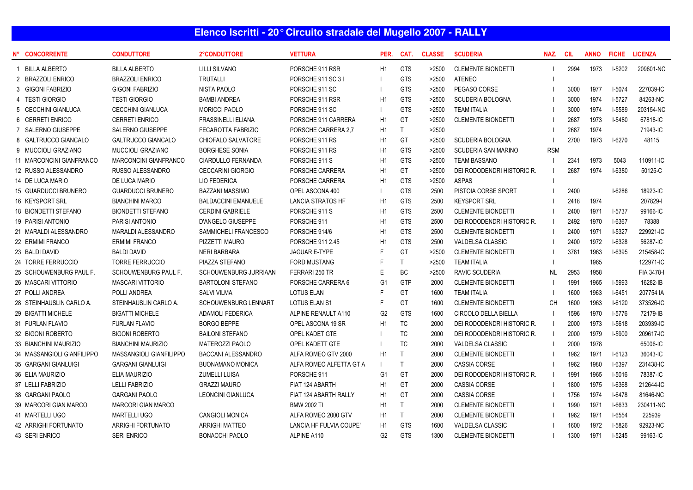## **Elenco Iscritti - 20° Circuito stradale del Mugello 2007 - RALLY**

| <b>CONCORRENTE</b>          | <b>CONDUTTORE</b>            | 2°CONDUTTORE                | <b>VETTURA</b>           | PER.           | CAT.         | <b>CLASSE</b> | <b>SCUDERIA</b>             | NAZ.       | <b>CIL</b> | <b>ANNO</b> | <b>FICHE</b>  | <b>LICENZA</b> |
|-----------------------------|------------------------------|-----------------------------|--------------------------|----------------|--------------|---------------|-----------------------------|------------|------------|-------------|---------------|----------------|
| <b>BILLA ALBERTO</b>        | <b>BILLA ALBERTO</b>         | <b>LILLI SILVANO</b>        | PORSCHE 911 RSR          | H1             | <b>GTS</b>   | >2500         | <b>CLEMENTE BIONDETTI</b>   |            | 2994       | 1973        | $I-5202$      | 209601-NC      |
| 2 BRAZZOLI ENRICO           | <b>BRAZZOLI ENRICO</b>       | <b>TRUTALLI</b>             | PORSCHE 911 SC 31        |                | <b>GTS</b>   | >2500         | <b>ATENEO</b>               |            |            |             |               |                |
| 3 GIGONI FABRIZIO           | <b>GIGONI FABRIZIO</b>       | <b>NISTA PAOLO</b>          | PORSCHE 911 SC           |                | <b>GTS</b>   | >2500         | PEGASO CORSE                |            | 3000       | 1977        | $I-5074$      | 227039-IC      |
| 4 TESTI GIORGIO             | <b>TESTI GIORGIO</b>         | <b>BAMBI ANDREA</b>         | PORSCHE 911 RSR          | H1             | <b>GTS</b>   | >2500         | <b>SCUDERIA BOLOGNA</b>     |            | 3000       | 1974        | $I-5727$      | 84263-NC       |
| 5 CECCHINI GIANLUCA         | <b>CECCHINI GIANLUCA</b>     | <b>MORICCI PAOLO</b>        | PORSCHE 911 SC           |                | <b>GTS</b>   | >2500         | <b>TEAM ITALIA</b>          |            | 3000       | 1974        | $I-5589$      | 203154-NC      |
| 6 CERRETI ENRICO            | <b>CERRETI ENRICO</b>        | <b>FRASSINELLI ELIANA</b>   | PORSCHE 911 CARRERA      | H1             | GT           | >2500         | <b>CLEMENTE BIONDETTI</b>   |            | 2687       | 1973        | <b>I-5480</b> | 67818-IC       |
| 7 SALERNO GIUSEPPE          | SALERNO GIUSEPPE             | FECAROTTA FABRIZIO          | PORSCHE CARRERA 2,7      | H1             | $\mathsf{T}$ | >2500         |                             |            | 2687       | 1974        |               | 71943-IC       |
| 8 GALTRUCCO GIANCALO        | <b>GALTRUCCO GIANCALO</b>    | CHIOFALO SALVATORE          | PORSCHE 911 RS           | H1             | GT           | >2500         | <b>SCUDERIA BOLOGNA</b>     |            | 2700       | 1973        | $I-6270$      | 48115          |
| 9 MUCCIOLI GRAZIANO         | <b>MUCCIOLI GRAZIANO</b>     | <b>BORGHESE SONIA</b>       | PORSCHE 911 RS           | H1             | <b>GTS</b>   | >2500         | SCUDERIA SAN MARINO         | <b>RSM</b> |            |             |               |                |
| 11 MARCONCINI GIANFRANCO    | <b>MARCONCINI GIANFRANCO</b> | <b>CIARDULLO FERNANDA</b>   | PORSCHE 911 S            | H1             | <b>GTS</b>   | >2500         | <b>TEAM BASSANO</b>         |            | 2341       | 1973        | 5043          | 110911-IC      |
| 12 RUSSO ALESSANDRO         | RUSSO ALESSANDRO             | <b>CECCARINI GIORGIO</b>    | PORSCHE CARRERA          | H1             | <b>GT</b>    | >2500         | DEI RODODENDRI HISTORIC R.  |            | 2687       | 1974        | I-6380        | 50125-C        |
| 14 DE LUCA MARIO            | DE LUCA MARIO                | LIO FEDERICA                | PORSCHE CARRERA          | H1             | <b>GTS</b>   | >2500         | <b>ASPAS</b>                |            |            |             |               |                |
| 15 GUARDUCCI BRUNERO        | <b>GUARDUCCI BRUNERO</b>     | <b>BAZZANI MASSIMO</b>      | OPEL ASCONA 400          |                | <b>GTS</b>   | 2500          | PISTOIA CORSE SPORT         |            | 2400       |             | $I-6286$      | 18923-IC       |
| 16 KEYSPORT SRL             | <b>BIANCHINI MARCO</b>       | <b>BALDACCINI EMANUELE</b>  | <b>LANCIA STRATOS HF</b> | H1             | <b>GTS</b>   | 2500          | <b>KEYSPORT SRL</b>         |            | 2418       | 1974        |               | 207829-1       |
| 18 BIONDETTI STEFANO        | <b>BIONDETTI STEFANO</b>     | <b>CERDINI GABRIELE</b>     | PORSCHE 911 S            | H1             | <b>GTS</b>   | 2500          | <b>CLEMENTE BIONDETTI</b>   |            | 2400       | 1971        | $I-5737$      | 99166-IC       |
| 19 PARISI ANTONIO           | <b>PARISI ANTONIO</b>        | D'ANGELO GIUSEPPE           | PORSCHE 911              | H1             | <b>GTS</b>   | 2500          | DEI RODODENDRI HISTORIC R.  |            | 2492       | 1970        | $I-6367$      | 78388          |
| 21 MARALDI ALESSANDRO       | MARALDI ALESSANDRO           | SAMMICHELI FRANCESCO        | PORSCHE 914/6            | H1             | <b>GTS</b>   | 2500          | <b>CLEMENTE BIONDETTI</b>   |            | 2400       | 1971        | $I-5327$      | 229921-IC      |
| 22 ERMIMI FRANCO            | <b>ERMIMI FRANCO</b>         | PIZZETTI MAURO              | PORSCHE 911 2.45         | H1             | <b>GTS</b>   | 2500          | <b>VALDELSA CLASSIC</b>     |            | 2400       | 1972        | $I-6328$      | 56287-IC       |
| 23 BALDI DAVID              | <b>BALDI DAVID</b>           | <b>NERI BARBARA</b>         | <b>JAGUAR E-TYPE</b>     | E              | GT           | >2500         | CLEMENTE BIONDETTI          |            | 3781       | 1963        | $1-6395$      | 215458-IC      |
| 24 TORRE FERRUCCIO          | <b>TORRE FERRUCCIO</b>       | PIAZZA STEFANO              | <b>FORD MUSTANG</b>      | F              | $\mathsf{T}$ | >2500         | <b>TEAM ITALIA</b>          |            |            | 1965        |               | 122971-IC      |
| 25 SCHOUWENBURG PAUL F.     | <b>SCHOUWENBURG PAUL F.</b>  | SCHOUWENBURG JURRIAAN       | FERRARI 250 TR           | E              | <b>BC</b>    | >2500         | <b>RAVIC SCUDERIA</b>       | <b>NL</b>  | 2953       | 1958        |               | FIA 3478-I     |
| 26 MASCARI VITTORIO         | <b>MASCARI VITTORIO</b>      | <b>BARTOLONI STEFANO</b>    | PORSCHE CARRERA 6        | G <sub>1</sub> | <b>GTP</b>   | 2000          | <b>CLEMENTE BIONDETTI</b>   |            | 1991       | 1965        | I-5993        | 16282-IB       |
| 27 POLLI ANDREA             | POLLI ANDREA                 | <b>SALVI VILMA</b>          | <b>LOTUS ELAN</b>        | F              | GT           | 1600          | <b>TEAM ITALIA</b>          |            | 1600       | 1963        | $I-6451$      | 207754 IA      |
| 28 STEINHAUSLIN CARLO A.    | STEINHAUSLIN CARLO A.        | <b>SCHOUWENBURG LENNART</b> | <b>LOTUS ELAN S1</b>     | E              | GT           | 1600          | CLEMENTE BIONDETTI          | <b>CH</b>  | 1600       | 1963        | $I-6120$      | 373526-IC      |
| 29 BIGATTI MICHELE          | <b>BIGATTI MICHELE</b>       | <b>ADAMOLI FEDERICA</b>     | ALPINE RENAULT A110      | G2             | <b>GTS</b>   | 1600          | <b>CIRCOLO DELLA BIELLA</b> |            | 1596       | 1970        | $1-5776$      | 72179-IB       |
| 31 FURLAN FLAVIO            | <b>FURLAN FLAVIO</b>         | <b>BORGO BEPPE</b>          | OPEL ASCONA 19 SR        | H1             | <b>TC</b>    | 2000          | DEI RODODENDRI HISTORIC R.  |            | 2000       | 1973        | $I-5618$      | 203939-IC      |
| 32 BIGONI ROBERTO           | <b>BIGONI ROBERTO</b>        | <b>BAILONI STEFANO</b>      | OPEL KADET GTE           |                | <b>TC</b>    | 2000          | DEI RODODENDRI HISTORIC R.  |            | 2000       | 1979        | I-5900        | 209617-IC      |
| 33 BIANCHINI MAURIZIO       | <b>BIANCHINI MAURIZIO</b>    | <b>MATEROZZI PAOLO</b>      | OPEL KADETT GTE          |                | <b>TC</b>    | 2000          | <b>VALDELSA CLASSIC</b>     |            | 2000       | 1978        |               | 65006-IC       |
| 34 MASSANGIOLI GIANFILIPPO  | MASSANGIOLI GIANFILIPPO      | <b>BACCANI ALESSANDRO</b>   | ALFA ROMEO GTV 2000      | H1             | $\mathsf{T}$ | 2000          | <b>CLEMENTE BIONDETTI</b>   |            | 1962       | 1971        | $I-6123$      | 36043-IC       |
| 35 GARGANI GIANLUIGI        | <b>GARGANI GIANLUIGI</b>     | <b>BUONAMANO MONICA</b>     | ALFA ROMEO ALFETTA GT A  | $\mathbf{L}$   | $\mathsf{T}$ | 2000          | <b>CASSIA CORSE</b>         |            | 1962       | 1980        | $I-6397$      | 231438-IC      |
| 36 ELIA MAURIZIO            | <b>ELIA MAURIZIO</b>         | <b>ZUMELLI LUISA</b>        | PORSCHE 911              | G <sub>1</sub> | GT           | 2000          | DEI RODODENDRI HISTORIC R.  |            | 1991       | 1965        | $I-5016$      | 78387-IC       |
| 37 LELLI FABRIZIO           | <b>LELLI FABRIZIO</b>        | <b>GRAZZI MAURO</b>         | FIAT 124 ABARTH          | H1             | GT           | 2000          | CASSIA CORSE                |            | 1800       | 1975        | $I-6368$      | 212644-IC      |
| 38 GARGANI PAOLO            | <b>GARGANI PAOLO</b>         | <b>LEONCINI GIANLUCA</b>    | FIAT 124 ABARTH RALLY    | H1             | GT           | 2000          | <b>CASSIA CORSE</b>         |            | 1756       | 1974        | $I-6478$      | 81646-NC       |
| 39 MARCORI GIAN MARCO       | <b>MARCORI GIAN MARCO</b>    |                             | <b>BMW 2002 TI</b>       | H1             | $\mathsf{T}$ | 2000          | <b>CLEMENTE BIONDETTI</b>   |            | 1990       | 1971        | $I-6633$      | 230411-NC      |
| 41 MARTELLI UGO             | <b>MARTELLI UGO</b>          | <b>CANGIOLI MONICA</b>      | ALFA ROMEO 2000 GTV      | H1             | $\mathsf{T}$ | 2000          | <b>CLEMENTE BIONDETTI</b>   |            | 1962       | 1971        | $I-6554$      | 225939         |
| <b>42 ARRIGHI FORTUNATO</b> | <b>ARRIGHI FORTUNATO</b>     | <b>ARRIGHI MATTEO</b>       | LANCIA HF FULVIA COUPE'  | H1             | <b>GTS</b>   | 1600          | <b>VALDELSA CLASSIC</b>     |            | 1600       | 1972        | I-5826        | 92923-NC       |
| 43 SERI ENRICO              | <b>SERI ENRICO</b>           | <b>BONACCHI PAOLO</b>       | ALPINE A110              | G <sub>2</sub> | <b>GTS</b>   | 1300          | <b>CLEMENTE BIONDETTI</b>   |            | 1300       | 1971        | $I-5245$      | 99163-IC       |